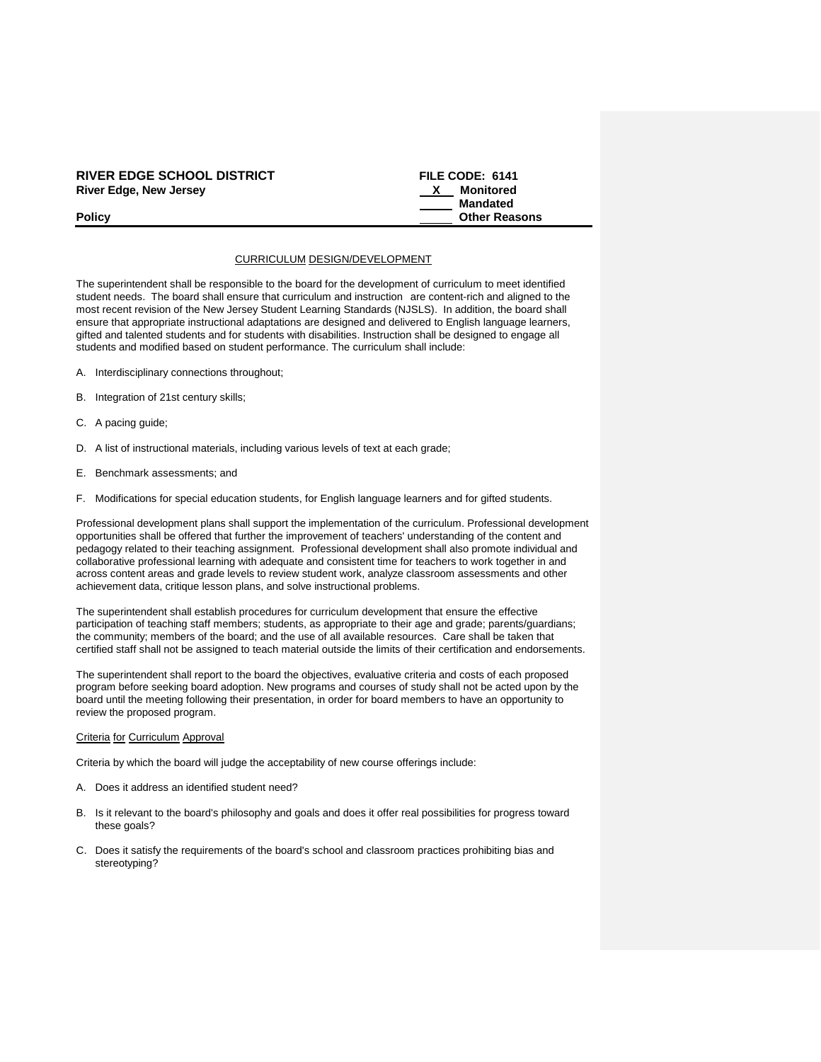### **RIVER EDGE SCHOOL DISTRICT FILE CODE: 6141**<br>River Edge, New Jersey **Rights FILE CODE:** 6141 **River Edge, New Jersey**

# **Mandated Policy Policy Policy Other Reasons**

#### CURRICULUM DESIGN/DEVELOPMENT

The superintendent shall be responsible to the board for the development of curriculum to meet identified student needs. The board shall ensure that curriculum and instruction are content-rich and aligned to the most recent revision of the New Jersey Student Learning Standards (NJSLS). In addition, the board shall ensure that appropriate instructional adaptations are designed and delivered to English language learners, gifted and talented students and for students with disabilities. Instruction shall be designed to engage all students and modified based on student performance. The curriculum shall include:

- A. Interdisciplinary connections throughout;
- B. Integration of 21st century skills;
- C. A pacing guide;
- D. A list of instructional materials, including various levels of text at each grade;
- E. Benchmark assessments; and
- F. Modifications for special education students, for English language learners and for gifted students.

Professional development plans shall support the implementation of the curriculum. Professional development opportunities shall be offered that further the improvement of teachers' understanding of the content and pedagogy related to their teaching assignment. Professional development shall also promote individual and collaborative professional learning with adequate and consistent time for teachers to work together in and across content areas and grade levels to review student work, analyze classroom assessments and other achievement data, critique lesson plans, and solve instructional problems.

The superintendent shall establish procedures for curriculum development that ensure the effective participation of teaching staff members; students, as appropriate to their age and grade; parents/guardians; the community; members of the board; and the use of all available resources. Care shall be taken that certified staff shall not be assigned to teach material outside the limits of their certification and endorsements.

The superintendent shall report to the board the objectives, evaluative criteria and costs of each proposed program before seeking board adoption. New programs and courses of study shall not be acted upon by the board until the meeting following their presentation, in order for board members to have an opportunity to review the proposed program.

#### Criteria for Curriculum Approval

Criteria by which the board will judge the acceptability of new course offerings include:

- A. Does it address an identified student need?
- B. Is it relevant to the board's philosophy and goals and does it offer real possibilities for progress toward these goals?
- C. Does it satisfy the requirements of the board's school and classroom practices prohibiting bias and stereotyping?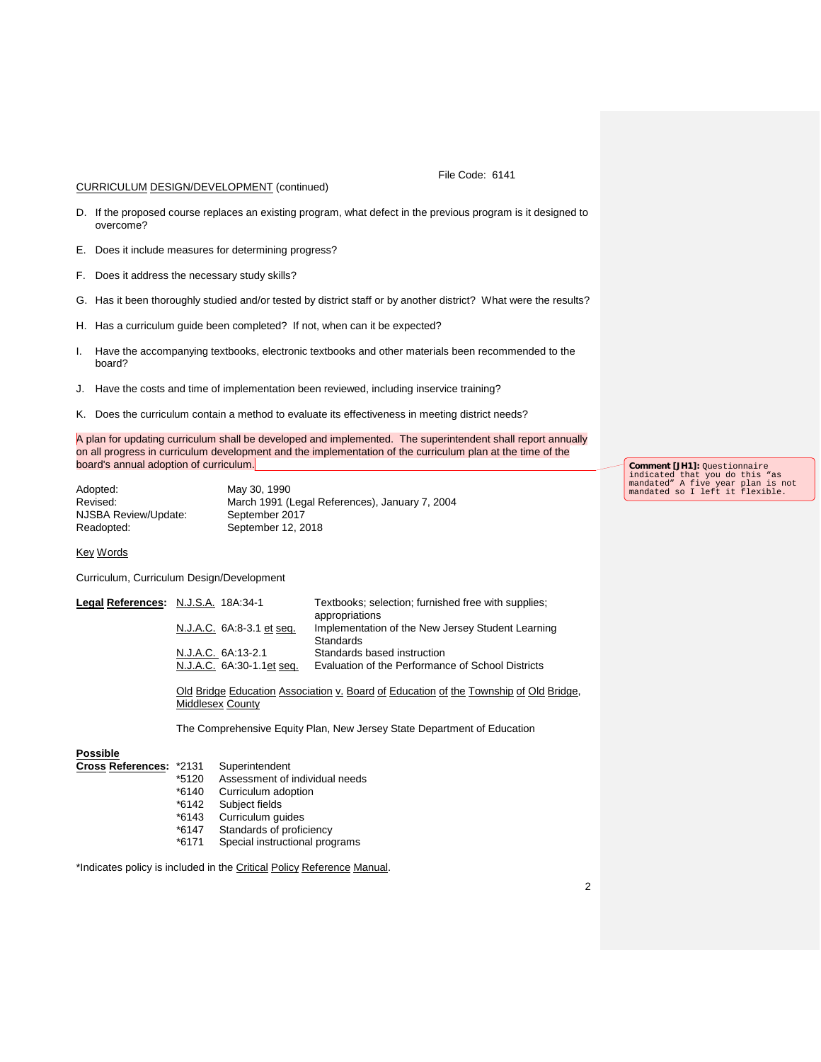CURRICULUM DESIGN/DEVELOPMENT (continued)

File Code: 6141

- D. If the proposed course replaces an existing program, what defect in the previous program is it designed to overcome?
- E. Does it include measures for determining progress?
- F. Does it address the necessary study skills?
- G. Has it been thoroughly studied and/or tested by district staff or by another district? What were the results?
- H. Has a curriculum guide been completed? If not, when can it be expected?
- I. Have the accompanying textbooks, electronic textbooks and other materials been recommended to the board?
- J. Have the costs and time of implementation been reviewed, including inservice training?
- K. Does the curriculum contain a method to evaluate its effectiveness in meeting district needs?

A plan for updating curriculum shall be developed and implemented. The superintendent shall report annually on all progress in curriculum development and the implementation of the curriculum plan at the time of the board's annual adoption of curriculum.

Adopted: May 30, 1990 NJSBA Review/Update:<br>Readopted:

Revised: March 1991 (Legal References), January 7, 2004<br>NJSBA Review/Update: September 2017 September 12, 2018

Key Words

Curriculum, Curriculum Design/Development

| Legal References: N.J.S.A. 18A:34-1 |                           | Textbooks; selection; furnished free with supplies;<br>appropriations |
|-------------------------------------|---------------------------|-----------------------------------------------------------------------|
|                                     | N.J.A.C. 6A:8-3.1 et seq. | Implementation of the New Jersey Student Learning<br>Standards        |
|                                     | N.J.A.C. 6A:13-2.1        | Standards based instruction                                           |
|                                     | N.J.A.C. 6A:30-1.1et seq. | Evaluation of the Performance of School Districts                     |

Old Bridge Education Association v. Board of Education of the Township of Old Bridge, Middlesex County

The Comprehensive Equity Plan, New Jersey State Department of Education

## **Possible**

- **Cross References:** \*2131 Superintendent
	- \*5120 Assessment of individual needs
	- \*6140 Curriculum adoption
	- \*6142 Subject fields
	- Curriculum guides
	- \*6147 Standards of proficiency
	- Special instructional programs

\*Indicates policy is included in the Critical Policy Reference Manual.

**Comment [JH1]:** Questionnaire indicated that you do this "as mandated" A five year plan is not mandated so I left it flexible.